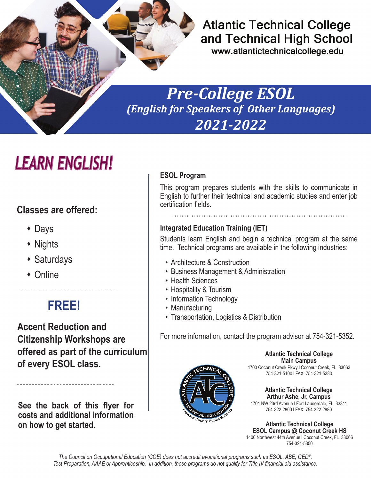

#### **Atlantic Technical College** and Technical High School

www.atlantictechnicalcollege.edu

### *Pre-College ESOL (English for Speakers of Other Languages) 2021-2022*

# LEARN ENGLISH!

#### **Classes are offered:**

- Days
- Nights
- $\triangleleft$  Saturdays
- Online

### **FREE!**

**Accent Reduction and Citizenship Workshops are offered as part of the curriculum of every ESOL class.**

**See the back of this flyer for costs and additional information on how to get started.**

----------------------------

#### **ESOL Program**

This program prepares students with the skills to communicate in English to further their technical and academic studies and enter job certification fields.

#### **Integrated Education Training (IET)**

Students learn English and begin a technical program at the same time. Technical programs are available in the following industries:

- Architecture & Construction
- Business Management & Administration
- Health Sciences
- Hospitality & Tourism
- Information Technology
- Manufacturing
- Transportation, Logistics & Distribution

For more information, contact the program advisor at 754-321-5352.



**Atlantic Technical College Main Campus** 4700 Coconut Creek Pkwy l Coconut Creek, FL 33063 754-321-5100 l FAX: 754-321-5380

**Atlantic Technical College Arthur Ashe, Jr. Campus** 1701 NW 23rd Avenue l Fort Lauderdale, FL 33311 754-322-2800 l FAX: 754-322-2880

**Atlantic Technical College ESOL Campus @ Coconut Creek HS** 1400 Northwest 44th Avenue l Coconut Creek, FL 33066 754-321-5350